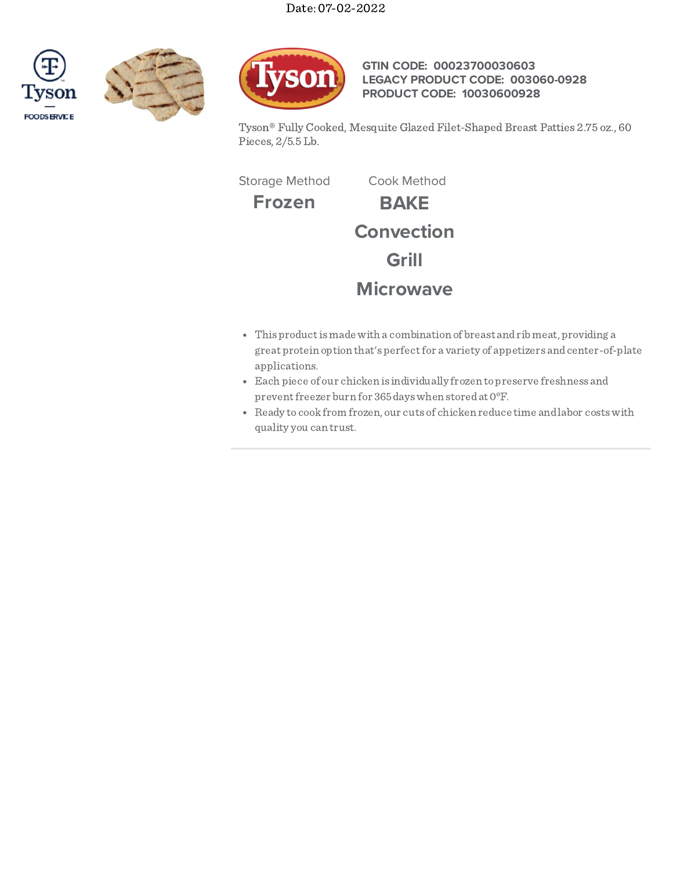





**GTIN CODE: 00023700030603 LEGACY PRODUCT CODE: 003060-0928 PRODUCT CODE: 10030600928**

Tyson® Fully Cooked, Mesquite Glazed Filet-Shaped Breast Patties 2.75 oz., 60 Pieces, 2/5.5 Lb.

Storage Method Cook Method

**Frozen BAKE Convection Grill Microwave**

- This productismade with a combination of breast andribmeat, providing a great protein option that's perfectfor a variety of appetizers andcenter-of-plate applications.
- Each piece of our chicken is individually frozen topreserve freshness and preventfreezer burn for 365dayswhen storedat 0°F.
- Ready to cookfrom frozen, our cuts of chicken reduce time andlabor costswith quality you can trust.